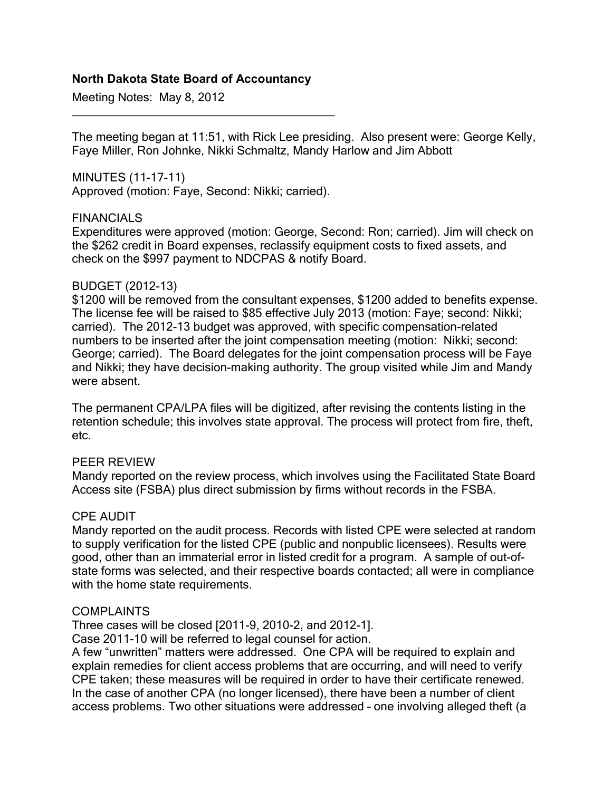### **North Dakota State Board of Accountancy**

Meeting Notes: May 8, 2012

The meeting began at 11:51, with Rick Lee presiding. Also present were: George Kelly, Faye Miller, Ron Johnke, Nikki Schmaltz, Mandy Harlow and Jim Abbott

MINUTES (11-17-11) Approved (motion: Faye, Second: Nikki; carried).

\_\_\_\_\_\_\_\_\_\_\_\_\_\_\_\_\_\_\_\_\_\_\_\_\_\_\_\_\_\_\_\_\_\_\_\_\_\_\_\_\_\_\_

#### FINANCIALS

Expenditures were approved (motion: George, Second: Ron; carried). Jim will check on the \$262 credit in Board expenses, reclassify equipment costs to fixed assets, and check on the \$997 payment to NDCPAS & notify Board.

#### BUDGET (2012-13)

\$1200 will be removed from the consultant expenses, \$1200 added to benefits expense. The license fee will be raised to \$85 effective July 2013 (motion: Faye; second: Nikki; carried). The 2012-13 budget was approved, with specific compensation-related numbers to be inserted after the joint compensation meeting (motion: Nikki; second: George; carried). The Board delegates for the joint compensation process will be Faye and Nikki; they have decision-making authority. The group visited while Jim and Mandy were absent.

The permanent CPA/LPA files will be digitized, after revising the contents listing in the retention schedule; this involves state approval. The process will protect from fire, theft, etc.

#### PEER REVIEW

Mandy reported on the review process, which involves using the Facilitated State Board Access site (FSBA) plus direct submission by firms without records in the FSBA.

#### CPE AUDIT

Mandy reported on the audit process. Records with listed CPE were selected at random to supply verification for the listed CPE (public and nonpublic licensees). Results were good, other than an immaterial error in listed credit for a program. A sample of out-ofstate forms was selected, and their respective boards contacted; all were in compliance with the home state requirements.

#### COMPLAINTS

Three cases will be closed [2011-9, 2010-2, and 2012-1].

Case 2011-10 will be referred to legal counsel for action.

A few "unwritten" matters were addressed. One CPA will be required to explain and explain remedies for client access problems that are occurring, and will need to verify CPE taken; these measures will be required in order to have their certificate renewed. In the case of another CPA (no longer licensed), there have been a number of client access problems. Two other situations were addressed – one involving alleged theft (a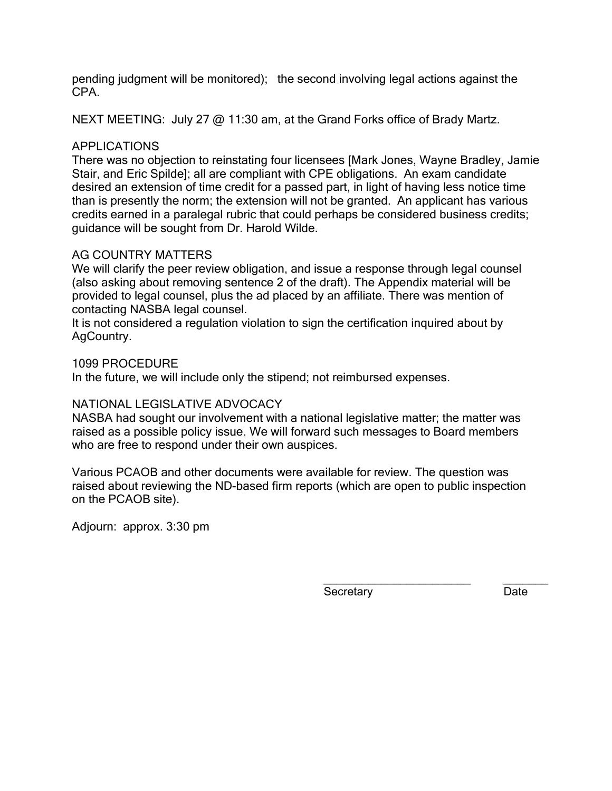pending judgment will be monitored); the second involving legal actions against the CPA.

NEXT MEETING: July 27 @ 11:30 am, at the Grand Forks office of Brady Martz.

# APPLICATIONS

There was no objection to reinstating four licensees [Mark Jones, Wayne Bradley, Jamie Stair, and Eric Spilde]; all are compliant with CPE obligations. An exam candidate desired an extension of time credit for a passed part, in light of having less notice time than is presently the norm; the extension will not be granted. An applicant has various credits earned in a paralegal rubric that could perhaps be considered business credits; guidance will be sought from Dr. Harold Wilde.

# AG COUNTRY MATTERS

We will clarify the peer review obligation, and issue a response through legal counsel (also asking about removing sentence 2 of the draft). The Appendix material will be provided to legal counsel, plus the ad placed by an affiliate. There was mention of contacting NASBA legal counsel.

It is not considered a regulation violation to sign the certification inquired about by AgCountry.

# 1099 PROCEDURE

In the future, we will include only the stipend; not reimbursed expenses.

# NATIONAL LEGISLATIVE ADVOCACY

NASBA had sought our involvement with a national legislative matter; the matter was raised as a possible policy issue. We will forward such messages to Board members who are free to respond under their own auspices.

Various PCAOB and other documents were available for review. The question was raised about reviewing the ND-based firm reports (which are open to public inspection on the PCAOB site).

Adjourn: approx. 3:30 pm

Secretary Date

\_\_\_\_\_\_\_\_\_\_\_\_\_\_\_\_\_\_\_\_\_\_\_ \_\_\_\_\_\_\_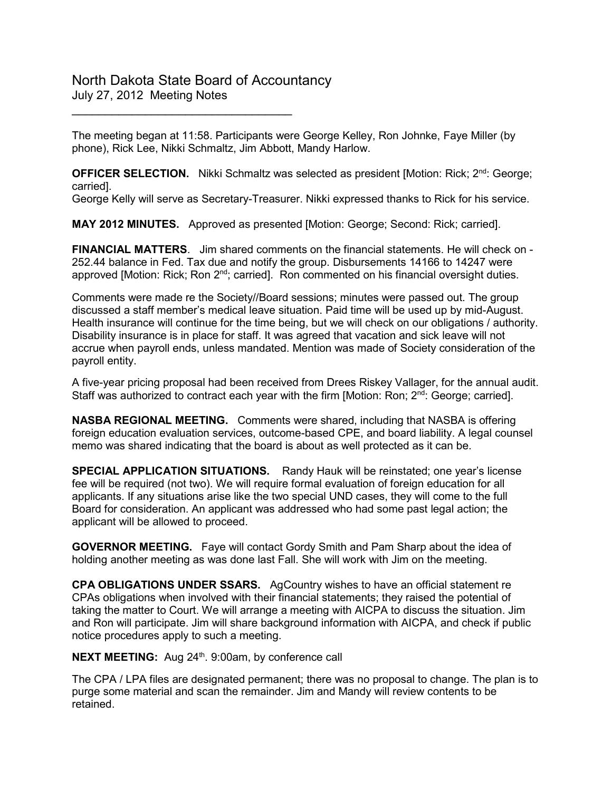# North Dakota State Board of Accountancy July 27, 2012 Meeting Notes

\_\_\_\_\_\_\_\_\_\_\_\_\_\_\_\_\_\_\_\_\_\_\_\_\_\_\_\_\_\_\_\_\_

The meeting began at 11:58. Participants were George Kelley, Ron Johnke, Faye Miller (by phone), Rick Lee, Nikki Schmaltz, Jim Abbott, Mandy Harlow.

**OFFICER SELECTION.** Nikki Schmaltz was selected as president [Motion: Rick; 2<sup>nd</sup>: George; carried].

George Kelly will serve as Secretary-Treasurer. Nikki expressed thanks to Rick for his service.

**MAY 2012 MINUTES.** Approved as presented [Motion: George; Second: Rick; carried].

**FINANCIAL MATTERS**. Jim shared comments on the financial statements. He will check on - 252.44 balance in Fed. Tax due and notify the group. Disbursements 14166 to 14247 were approved [Motion: Rick; Ron 2<sup>nd</sup>; carried]. Ron commented on his financial oversight duties.

Comments were made re the Society//Board sessions; minutes were passed out. The group discussed a staff member's medical leave situation. Paid time will be used up by mid-August. Health insurance will continue for the time being, but we will check on our obligations / authority. Disability insurance is in place for staff. It was agreed that vacation and sick leave will not accrue when payroll ends, unless mandated. Mention was made of Society consideration of the payroll entity.

A five-year pricing proposal had been received from Drees Riskey Vallager, for the annual audit. Staff was authorized to contract each year with the firm [Motion: Ron; 2<sup>nd</sup>: George; carried].

**NASBA REGIONAL MEETING.** Comments were shared, including that NASBA is offering foreign education evaluation services, outcome-based CPE, and board liability. A legal counsel memo was shared indicating that the board is about as well protected as it can be.

**SPECIAL APPLICATION SITUATIONS.** Randy Hauk will be reinstated; one year's license fee will be required (not two). We will require formal evaluation of foreign education for all applicants. If any situations arise like the two special UND cases, they will come to the full Board for consideration. An applicant was addressed who had some past legal action; the applicant will be allowed to proceed.

**GOVERNOR MEETING.** Faye will contact Gordy Smith and Pam Sharp about the idea of holding another meeting as was done last Fall. She will work with Jim on the meeting.

**CPA OBLIGATIONS UNDER SSARS.** AgCountry wishes to have an official statement re CPAs obligations when involved with their financial statements; they raised the potential of taking the matter to Court. We will arrange a meeting with AICPA to discuss the situation. Jim and Ron will participate. Jim will share background information with AICPA, and check if public notice procedures apply to such a meeting.

**NEXT MEETING:** Aug 24<sup>th</sup>. 9:00am, by conference call

The CPA / LPA files are designated permanent; there was no proposal to change. The plan is to purge some material and scan the remainder. Jim and Mandy will review contents to be retained.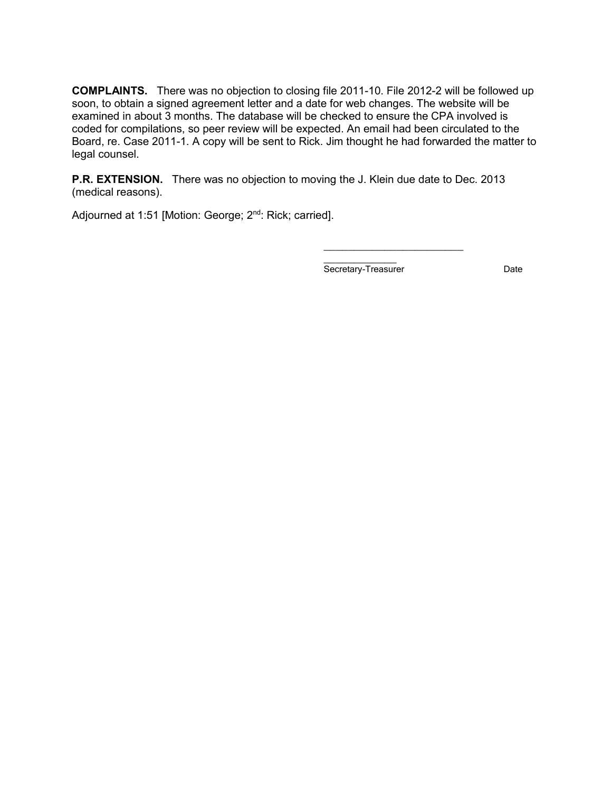**COMPLAINTS.** There was no objection to closing file 2011-10. File 2012-2 will be followed up soon, to obtain a signed agreement letter and a date for web changes. The website will be examined in about 3 months. The database will be checked to ensure the CPA involved is coded for compilations, so peer review will be expected. An email had been circulated to the Board, re. Case 2011-1. A copy will be sent to Rick. Jim thought he had forwarded the matter to legal counsel.

**P.R. EXTENSION.** There was no objection to moving the J. Klein due date to Dec. 2013 (medical reasons).

Adjourned at 1:51 [Motion: George; 2<sup>nd</sup>: Rick; carried].

\_\_\_\_\_\_\_\_\_\_\_\_ Secretary-Treasurer **Date** Date

\_\_\_\_\_\_\_\_\_\_\_\_\_\_\_\_\_\_\_\_\_\_\_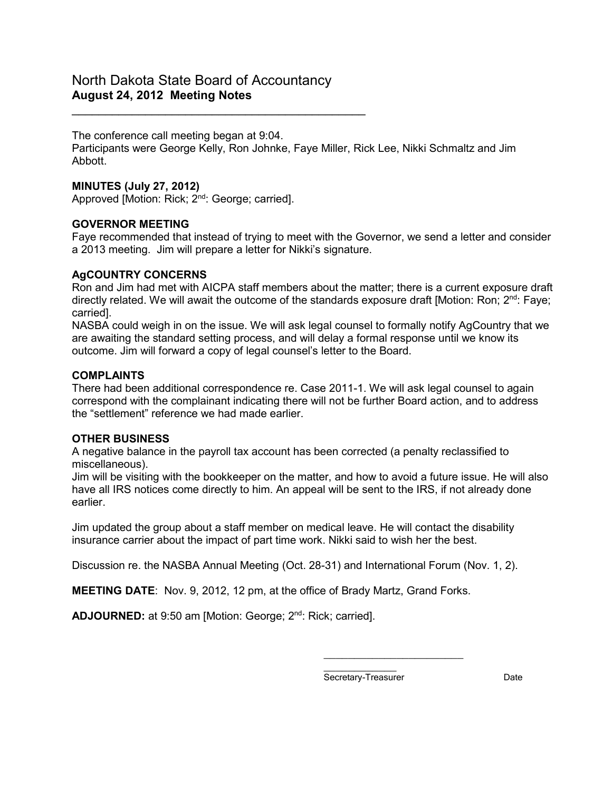\_\_\_\_\_\_\_\_\_\_\_\_\_\_\_\_\_\_\_\_\_\_\_\_\_\_\_\_\_\_\_\_\_\_\_\_\_\_\_\_\_\_\_\_

The conference call meeting began at 9:04.

Participants were George Kelly, Ron Johnke, Faye Miller, Rick Lee, Nikki Schmaltz and Jim Abbott.

# **MINUTES (July 27, 2012)**

Approved [Motion: Rick; 2<sup>nd</sup>: George; carried].

# **GOVERNOR MEETING**

Faye recommended that instead of trying to meet with the Governor, we send a letter and consider a 2013 meeting. Jim will prepare a letter for Nikki's signature.

# **AgCOUNTRY CONCERNS**

Ron and Jim had met with AICPA staff members about the matter; there is a current exposure draft directly related. We will await the outcome of the standards exposure draft [Motion: Ron; 2<sup>nd</sup>: Faye; carried].

NASBA could weigh in on the issue. We will ask legal counsel to formally notify AgCountry that we are awaiting the standard setting process, and will delay a formal response until we know its outcome. Jim will forward a copy of legal counsel's letter to the Board.

### **COMPLAINTS**

There had been additional correspondence re. Case 2011-1. We will ask legal counsel to again correspond with the complainant indicating there will not be further Board action, and to address the "settlement" reference we had made earlier.

#### **OTHER BUSINESS**

A negative balance in the payroll tax account has been corrected (a penalty reclassified to miscellaneous).

Jim will be visiting with the bookkeeper on the matter, and how to avoid a future issue. He will also have all IRS notices come directly to him. An appeal will be sent to the IRS, if not already done earlier.

Jim updated the group about a staff member on medical leave. He will contact the disability insurance carrier about the impact of part time work. Nikki said to wish her the best.

Discussion re. the NASBA Annual Meeting (Oct. 28-31) and International Forum (Nov. 1, 2).

**MEETING DATE**: Nov. 9, 2012, 12 pm, at the office of Brady Martz, Grand Forks.

**ADJOURNED:** at 9:50 am [Motion: George; 2<sup>nd</sup>: Rick; carried].

\_\_\_\_\_\_\_\_\_\_\_\_ Secretary-Treasurer **Date** 

\_\_\_\_\_\_\_\_\_\_\_\_\_\_\_\_\_\_\_\_\_\_\_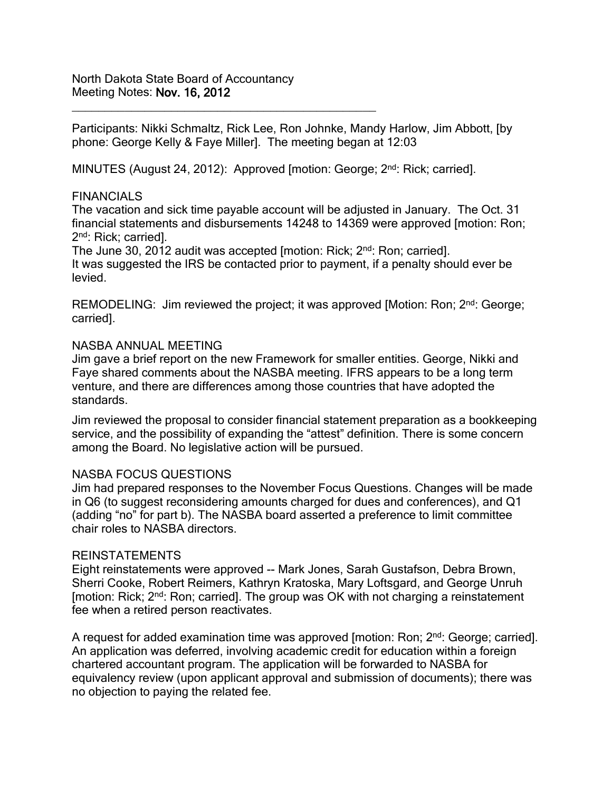North Dakota State Board of Accountancy Meeting Notes: Nov. 16, 2012

\_\_\_\_\_\_\_\_\_\_\_\_\_\_\_\_\_\_\_\_\_\_\_\_\_\_\_\_\_\_\_\_\_\_\_\_\_\_\_\_\_\_\_\_\_\_

Participants: Nikki Schmaltz, Rick Lee, Ron Johnke, Mandy Harlow, Jim Abbott, [by phone: George Kelly & Faye Miller]. The meeting began at 12:03

MINUTES (August 24, 2012): Approved [motion: George; 2<sup>nd</sup>: Rick; carried].

### FINANCIALS

The vacation and sick time payable account will be adjusted in January. The Oct. 31 financial statements and disbursements 14248 to 14369 were approved [motion: Ron; 2nd: Rick; carried].

The June 30, 2012 audit was accepted [motion: Rick; 2<sup>nd</sup>: Ron; carried]. It was suggested the IRS be contacted prior to payment, if a penalty should ever be levied.

REMODELING: Jim reviewed the project; it was approved [Motion: Ron; 2<sup>nd</sup>: George; carried].

### NASBA ANNUAL MEETING

Jim gave a brief report on the new Framework for smaller entities. George, Nikki and Faye shared comments about the NASBA meeting. IFRS appears to be a long term venture, and there are differences among those countries that have adopted the standards.

Jim reviewed the proposal to consider financial statement preparation as a bookkeeping service, and the possibility of expanding the "attest" definition. There is some concern among the Board. No legislative action will be pursued.

#### NASBA FOCUS QUESTIONS

Jim had prepared responses to the November Focus Questions. Changes will be made in Q6 (to suggest reconsidering amounts charged for dues and conferences), and Q1 (adding "no" for part b). The NASBA board asserted a preference to limit committee chair roles to NASBA directors.

#### REINSTATEMENTS

Eight reinstatements were approved -- Mark Jones, Sarah Gustafson, Debra Brown, Sherri Cooke, Robert Reimers, Kathryn Kratoska, Mary Loftsgard, and George Unruh [motion: Rick; 2<sup>nd</sup>: Ron; carried]. The group was OK with not charging a reinstatement fee when a retired person reactivates.

A request for added examination time was approved [motion: Ron; 2<sup>nd</sup>: George; carried]. An application was deferred, involving academic credit for education within a foreign chartered accountant program. The application will be forwarded to NASBA for equivalency review (upon applicant approval and submission of documents); there was no objection to paying the related fee.